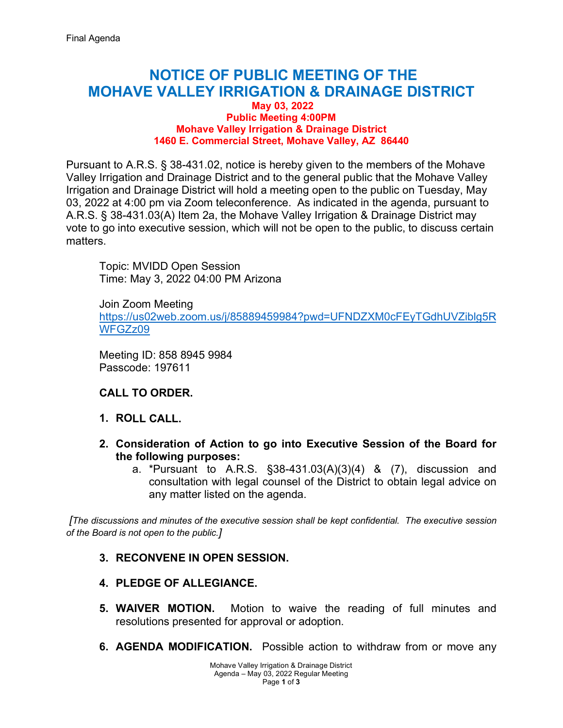# **NOTICE OF PUBLIC MEETING OF THE MOHAVE VALLEY IRRIGATION & DRAINAGE DISTRICT**

#### **May 03, 2022 Public Meeting 4:00PM Mohave Valley Irrigation & Drainage District 1460 E. Commercial Street, Mohave Valley, AZ 86440**

Pursuant to A.R.S. § 38-431.02, notice is hereby given to the members of the Mohave Valley Irrigation and Drainage District and to the general public that the Mohave Valley Irrigation and Drainage District will hold a meeting open to the public on Tuesday, May 03, 2022 at 4:00 pm via Zoom teleconference. As indicated in the agenda, pursuant to A.R.S. § 38-431.03(A) Item 2a, the Mohave Valley Irrigation & Drainage District may vote to go into executive session, which will not be open to the public, to discuss certain matters.

Topic: MVIDD Open Session Time: May 3, 2022 04:00 PM Arizona

Join Zoom Meeting [https://us02web.zoom.us/j/85889459984?pwd=UFNDZXM0cFEyTGdhUVZiblg5R](https://us02web.zoom.us/j/85889459984?pwd=UFNDZXM0cFEyTGdhUVZiblg5RWFGZz09) [WFGZz09](https://us02web.zoom.us/j/85889459984?pwd=UFNDZXM0cFEyTGdhUVZiblg5RWFGZz09) 

Meeting ID: 858 8945 9984 Passcode: 197611

#### **CALL TO ORDER.**

- **1. ROLL CALL.**
- **2. Consideration of Action to go into Executive Session of the Board for the following purposes:**
	- a. \*Pursuant to A.R.S. §38-431.03(A)(3)(4) & (7), discussion and consultation with legal counsel of the District to obtain legal advice on any matter listed on the agenda.

*[The discussions and minutes of the executive session shall be kept confidential. The executive session of the Board is not open to the public.]*

#### **3. RECONVENE IN OPEN SESSION.**

- **4. PLEDGE OF ALLEGIANCE.**
- **5. WAIVER MOTION.** Motion to waive the reading of full minutes and resolutions presented for approval or adoption.
- **6. AGENDA MODIFICATION.** Possible action to withdraw from or move any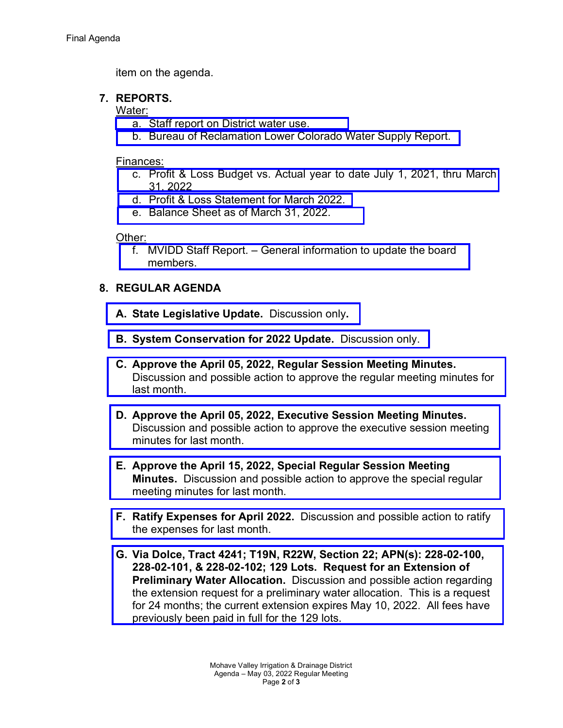item on the agenda.

## **7. REPORTS.**

#### Water:

- a. [Staff report on District water use.](https://mvidd.net/wp-content/uploads/2022/04/2022-05-03-Regular-Board-Action-Form-Item-7a-Reports-Water-District-Use.pdf)
- b. [Bureau of Reclamation Lower Colorado Water Supply Report.](https://mvidd.net/wp-content/uploads/2022/04/2022-05-03-Regular-Board-Action-Form-Item-7b-Reports-Water-BOR.pdf)

#### Finances:

- [c. Profit & Loss Budget vs. Actual year to date July 1, 2021, thru March](https://mvidd.net/wp-content/uploads/2022/04/2022-05-03-Regular-Board-Action-Form-Item-7c-Reports-Financial-profit-loss-vs-actual.pdf)  31, 2022
- d. [Profit & Loss Statement for March 2022.](https://mvidd.net/wp-content/uploads/2022/04/2022-05-03-Regular-Board-Action-Form-Item-7d-Reports-Financial-profit-loss-statement.pdf)
- e. [Balance Sheet as of March 31, 2022.](https://mvidd.net/wp-content/uploads/2022/04/2022-05-03-Regular-Board-Action-Form-Item-7e-Reports-Financial-Balance-Sheet.pdf)

## Other:

f. MVIDD Staff [Report. – General information to update the board](https://mvidd.net/wp-content/uploads/2022/04/2022-05-03-Regular-Board-Action-Form-Item-7f-Reports-Other.pdf)  members.

# **8. REGULAR AGENDA**

- **A. [State Legislative Update.](https://mvidd.net/wp-content/uploads/2022/04/2022-05-03-Regular-Board-Action-Form-Item-8A-State-Legislative-Update.pdf)** Discussion only**.**
- **B. [System Conservation for 2022 Update.](https://mvidd.net/wp-content/uploads/2022/04/2022-05-03-Regular-Board-Action-Form-Item-8B-System-Conservation-for-2022.pdf)** Discussion only.
- **C. Approve the April 05, 2022, Regular Session Meeting Minutes.**  [Discussion and possible action to approve the regular meeting minutes](https://mvidd.net/wp-content/uploads/2022/04/2022-05-03-Regular-Board-Action-Form-Item-8C-2022-04-05-Regular-Meeting-Minutes.pdf) for last month.
- **D. Approve the April 05, 2022, Executive Session Meeting Minutes.** [Discussion and possible action to approve the executive session meeting](https://mvidd.net/wp-content/uploads/2022/04/2022-05-03-Regular-Board-Action-Form-Item-8D-Approve-2022-04-05-Executive-Session-Minutes.pdf)  minutes for last month.
- **E. [Approve the April 15, 2022, Special Regular Session Meeting](https://mvidd.net/wp-content/uploads/2022/04/2022-05-03-Regular-Board-Action-Form-Item-8E-2022-04-15-Special-Regular-Meeting-Minutes.pdf)  Minutes.** Discussion and possible action to approve the special regular meeting minutes for last month.
- **F. Ratify Expenses for April 2022.** [Discussion and possible action to ratify](https://mvidd.net/wp-content/uploads/2022/04/2022-05-03-Regular-Board-Action-Form-Item-8F-Ratify-Expenses-for-April-2022.pdf)  the expenses for last month.
- **G. [Via Dolce, Tract 4241; T19N, R22W, Section 22; APN\(s\): 228-02-100,](https://mvidd.net/wp-content/uploads/2022/04/2022-05-03-Regular-Board-Action-Form-Item-8G-Via-Dolce-Tract-4241.pdf)  228-02-101, & 228-02-102; 129 Lots. Request for an Extension of Preliminary Water Allocation.** Discussion and possible action regarding the extension request for a preliminary water allocation. This is a request for 24 months; the current extension expires May 10, 2022. All fees have previously been paid in full for the 129 lots.